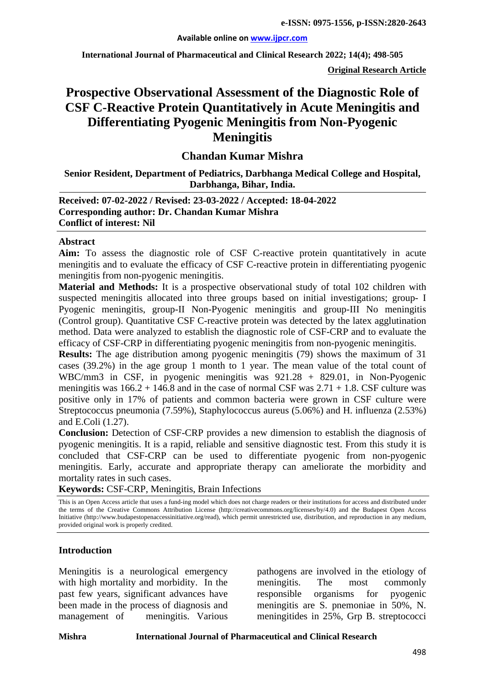**International Journal of Pharmaceutical and Clinical Research 2022; 14(4); 498-505**

**Original Research Article**

# **Prospective Observational Assessment of the Diagnostic Role of CSF C-Reactive Protein Quantitatively in Acute Meningitis and Differentiating Pyogenic Meningitis from Non-Pyogenic Meningitis**

# **Chandan Kumar Mishra**

**Senior Resident, Department of Pediatrics, Darbhanga Medical College and Hospital, Darbhanga, Bihar, India.**

**Received: 07-02-2022 / Revised: 23-03-2022 / Accepted: 18-04-2022 Corresponding author: Dr. Chandan Kumar Mishra Conflict of interest: Nil**

#### **Abstract**

**Aim:** To assess the diagnostic role of CSF C-reactive protein quantitatively in acute meningitis and to evaluate the efficacy of CSF C-reactive protein in differentiating pyogenic meningitis from non-pyogenic meningitis.

**Material and Methods:** It is a prospective observational study of total 102 children with suspected meningitis allocated into three groups based on initial investigations; group- I Pyogenic meningitis, group-II Non-Pyogenic meningitis and group-III No meningitis (Control group). Quantitative CSF C-reactive protein was detected by the latex agglutination method. Data were analyzed to establish the diagnostic role of CSF-CRP and to evaluate the efficacy of CSF-CRP in differentiating pyogenic meningitis from non-pyogenic meningitis.

**Results:** The age distribution among pyogenic meningitis (79) shows the maximum of 31 cases (39.2%) in the age group 1 month to 1 year. The mean value of the total count of WBC/mm3 in CSF, in pyogenic meningitis was 921.28 + 829.01, in Non-Pyogenic meningitis was  $166.2 + 146.8$  and in the case of normal CSF was  $2.71 + 1.8$ . CSF culture was positive only in 17% of patients and common bacteria were grown in CSF culture were Streptococcus pneumonia (7.59%), Staphylococcus aureus (5.06%) and H. influenza (2.53%) and E.Coli (1.27).

**Conclusion:** Detection of CSF-CRP provides a new dimension to establish the diagnosis of pyogenic meningitis. It is a rapid, reliable and sensitive diagnostic test. From this study it is concluded that CSF-CRP can be used to differentiate pyogenic from non-pyogenic meningitis. Early, accurate and appropriate therapy can ameliorate the morbidity and mortality rates in such cases.

**Keywords:** CSF-CRP, Meningitis, Brain Infections

This is an Open Access article that uses a fund-ing model which does not charge readers or their institutions for access and distributed under the terms of the Creative Commons Attribution License (http://creativecommons.org/licenses/by/4.0) and the Budapest Open Access Initiative (http://www.budapestopenaccessinitiative.org/read), which permit unrestricted use, distribution, and reproduction in any medium, provided original work is properly credited.

#### **Introduction**

Meningitis is a neurological emergency with high mortality and morbidity. In the past few years, significant advances have been made in the process of diagnosis and management of meningitis. Various

pathogens are involved in the etiology of meningitis. The most commonly responsible organisms for pyogenic meningitis are S. pnemoniae in 50%, N. meningitides in 25%, Grp B. streptococci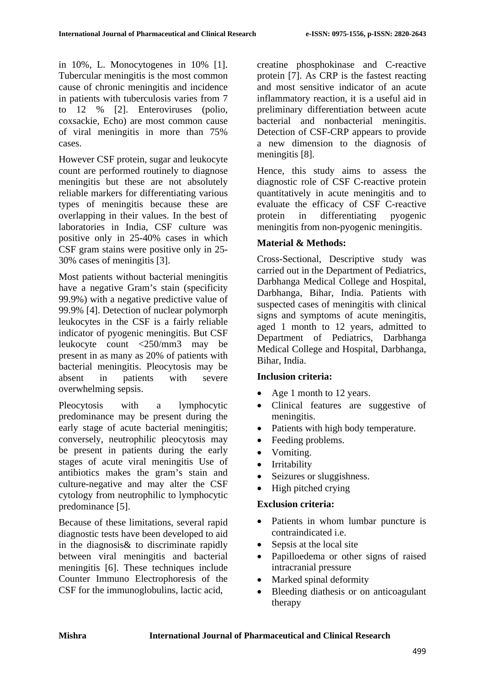in 10%, L. Monocytogenes in 10% [1]. Tubercular meningitis is the most common cause of chronic meningitis and incidence in patients with tuberculosis varies from 7 to 12 % [2]. Enteroviruses (polio, coxsackie, Echo) are most common cause of viral meningitis in more than 75% cases.

However CSF protein, sugar and leukocyte count are performed routinely to diagnose meningitis but these are not absolutely reliable markers for differentiating various types of meningitis because these are overlapping in their values. In the best of laboratories in India, CSF culture was positive only in 25-40% cases in which CSF gram stains were positive only in 25- 30% cases of meningitis [3].

Most patients without bacterial meningitis have a negative Gram's stain (specificity 99.9%) with a negative predictive value of 99.9% [4]. Detection of nuclear polymorph leukocytes in the CSF is a fairly reliable indicator of pyogenic meningitis. But CSF leukocyte count <250/mm3 may be present in as many as 20% of patients with bacterial meningitis. Pleocytosis may be absent in patients with severe overwhelming sepsis.

Pleocytosis with a lymphocytic predominance may be present during the early stage of acute bacterial meningitis; conversely, neutrophilic pleocytosis may be present in patients during the early stages of acute viral meningitis Use of antibiotics makes the gram's stain and culture-negative and may alter the CSF cytology from neutrophilic to lymphocytic predominance [5].

Because of these limitations, several rapid diagnostic tests have been developed to aid in the diagnosis& to discriminate rapidly between viral meningitis and bacterial meningitis [6]. These techniques include Counter Immuno Electrophoresis of the CSF for the immunoglobulins, lactic acid,

creatine phosphokinase and C-reactive protein [7]. As CRP is the fastest reacting and most sensitive indicator of an acute inflammatory reaction, it is a useful aid in preliminary differentiation between acute bacterial and nonbacterial meningitis. Detection of CSF-CRP appears to provide a new dimension to the diagnosis of meningitis [8].

Hence, this study aims to assess the diagnostic role of CSF C-reactive protein quantitatively in acute meningitis and to evaluate the efficacy of CSF C-reactive protein in differentiating pyogenic meningitis from non-pyogenic meningitis.

# **Material & Methods:**

Cross-Sectional, Descriptive study was carried out in the Department of Pediatrics, Darbhanga Medical College and Hospital, Darbhanga, Bihar, India. Patients with suspected cases of meningitis with clinical signs and symptoms of acute meningitis, aged 1 month to 12 years, admitted to Department of Pediatrics, Darbhanga Medical College and Hospital, Darbhanga, Bihar, India.

# **Inclusion criteria:**

- Age 1 month to 12 years.
- Clinical features are suggestive of meningitis.
- Patients with high body temperature.
- Feeding problems.
- Vomiting.
- Irritability
- Seizures or sluggishness.
- High pitched crying

# **Exclusion criteria:**

- Patients in whom lumbar puncture is contraindicated i.e.
- Sepsis at the local site
- Papilloedema or other signs of raised intracranial pressure
- Marked spinal deformity
- Bleeding diathesis or on anticoagulant therapy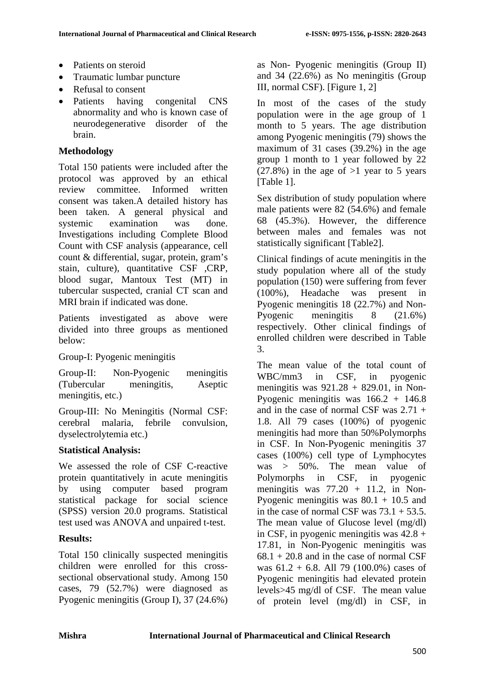- Patients on steroid
- Traumatic lumbar puncture
- Refusal to consent
- Patients having congenital CNS abnormality and who is known case of neurodegenerative disorder of the brain.

### **Methodology**

Total 150 patients were included after the protocol was approved by an ethical review committee. Informed written consent was taken.A detailed history has been taken. A general physical and systemic examination was done. Investigations including Complete Blood Count with CSF analysis (appearance, cell count & differential, sugar, protein, gram's stain, culture), quantitative CSF ,CRP, blood sugar, Mantoux Test (MT) in tubercular suspected, cranial CT scan and MRI brain if indicated was done.

Patients investigated as above were divided into three groups as mentioned below:

Group-I: Pyogenic meningitis

Group-II: Non-Pyogenic meningitis (Tubercular meningitis, Aseptic meningitis, etc.)

Group-III: No Meningitis (Normal CSF: cerebral malaria, febrile convulsion, dyselectrolytemia etc.)

### **Statistical Analysis:**

We assessed the role of CSF C-reactive protein quantitatively in acute meningitis by using computer based program statistical package for social science (SPSS) version 20.0 programs. Statistical test used was ANOVA and unpaired t-test.

# **Results:**

Total 150 clinically suspected meningitis children were enrolled for this crosssectional observational study. Among 150 cases, 79 (52.7%) were diagnosed as Pyogenic meningitis (Group I), 37 (24.6%) as Non- Pyogenic meningitis (Group II) and 34 (22.6%) as No meningitis (Group III, normal CSF). [Figure 1, 2]

In most of the cases of the study population were in the age group of 1 month to 5 years. The age distribution among Pyogenic meningitis (79) shows the maximum of 31 cases (39.2%) in the age group 1 month to 1 year followed by 22  $(27.8\%)$  in the age of  $>1$  year to 5 years [Table 1].

Sex distribution of study population where male patients were 82 (54.6%) and female 68 (45.3%). However, the difference between males and females was not statistically significant [Table2].

Clinical findings of acute meningitis in the study population where all of the study population (150) were suffering from fever (100%), Headache was present in Pyogenic meningitis 18 (22.7%) and Non-Pyogenic meningitis 8 (21.6%) respectively. Other clinical findings of enrolled children were described in Table 3.

The mean value of the total count of WBC/mm3 in CSF, in pyogenic meningitis was  $921.28 + 829.01$ , in Non-Pyogenic meningitis was  $166.2 + 146.8$ and in the case of normal CSF was 2.71 + 1.8. All 79 cases (100%) of pyogenic meningitis had more than 50%Polymorphs in CSF. In Non-Pyogenic meningitis 37 cases (100%) cell type of Lymphocytes was > 50%. The mean value of Polymorphs in CSF, in pyogenic meningitis was  $77.20 + 11.2$ , in Non-Pyogenic meningitis was  $80.1 + 10.5$  and in the case of normal CSF was  $73.1 + 53.5$ . The mean value of Glucose level (mg/dl) in CSF, in pyogenic meningitis was  $42.8 +$ 17.81, in Non-Pyogenic meningitis was  $68.1 + 20.8$  and in the case of normal CSF was 61.2 + 6.8. All 79 (100.0%) cases of Pyogenic meningitis had elevated protein levels>45 mg/dl of CSF. The mean value of protein level (mg/dl) in CSF, in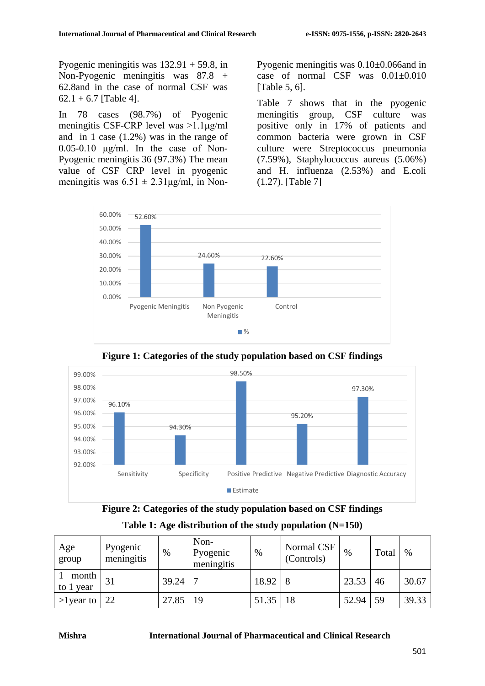Pyogenic meningitis was 132.91 + 59.8, in Non-Pyogenic meningitis was 87.8 + 62.8and in the case of normal CSF was  $62.1 + 6.7$  [Table 4].

In 78 cases (98.7%) of Pyogenic meningitis CSF-CRP level was >1.1μg/ml and in 1 case (1.2%) was in the range of  $0.05-0.10$  μg/ml. In the case of Non-Pyogenic meningitis 36 (97.3%) The mean value of CSF CRP level in pyogenic meningitis was  $6.51 \pm 2.31 \mu g/ml$ , in NonPyogenic meningitis was 0.10±0.066and in case of normal  $CSF$  was  $0.01 \pm 0.010$ [Table 5, 6].

Table 7 shows that in the pyogenic meningitis group, CSF culture was positive only in 17% of patients and common bacteria were grown in CSF culture were Streptococcus pneumonia (7.59%), Staphylococcus aureus (5.06%) and H. influenza (2.53%) and E.coli (1.27). [Table 7]



**Figure 1: Categories of the study population based on CSF findings**





| Age<br>group       | Pyogenic<br>meningitis | $\%$  | Non-<br>Pyogenic<br>meningitis | $\%$  | Normal CSF<br>(Controls) | $\%$  | Total | $\%$  |
|--------------------|------------------------|-------|--------------------------------|-------|--------------------------|-------|-------|-------|
| month<br>to 1 year | 31                     | 39.24 |                                | 18.92 |                          | 23.53 | 46    | 30.67 |
| $>1$ year to       | 22                     | 27.85 | 19                             | 51.35 | $\overline{18}$          | 52.94 | 59    | 39.33 |

#### **Mishra International Journal of Pharmaceutical and Clinical Research**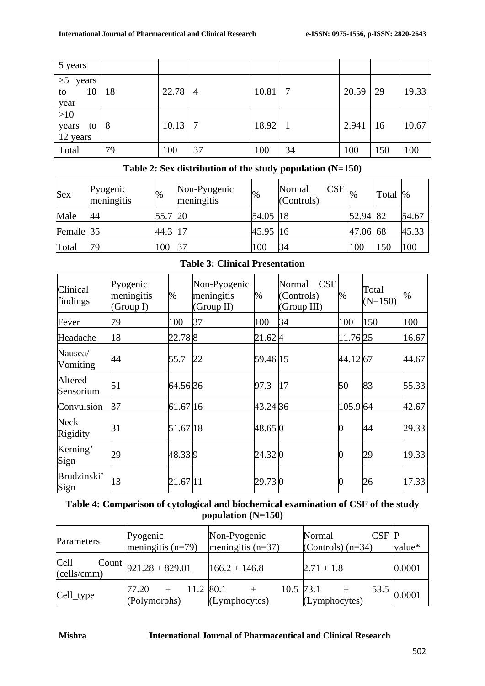| 5 years                          |    |       |    |       |    |       |     |       |
|----------------------------------|----|-------|----|-------|----|-------|-----|-------|
| >5<br>years<br>10<br>to<br>year  | 18 | 22.78 | 4  | 10.81 |    | 20.59 | 29  | 19.33 |
| $>10$<br>years<br>to<br>12 years | -8 | 10.13 |    | 18.92 |    | 2.941 | 16  | 10.67 |
| Total                            | 79 | 100   | 37 | 100   | 34 | 100   | 150 | 100   |

# **Table 2: Sex distribution of the study population (N=150)**

| <b>Sex</b> | Pyogenic<br>meningitis | $\%$ | Non-Pyogenic<br>meningitis | %          | CSF<br>Normal<br>(Controls) | $\frac{0}{0}$ | Total | $\%$  |
|------------|------------------------|------|----------------------------|------------|-----------------------------|---------------|-------|-------|
| Male       | 44                     | 55.7 | 20                         | 54.05   18 |                             | 52.94 82      |       | 54.67 |
| Female 35  |                        | 44.3 | 17                         | 45.95 16   |                             | 47.06         | 68    | 45.33 |
| Total      | 79                     | 100  |                            | 100        | 34                          | 100           | 150   | 100   |

# **Table 3: Clinical Presentation**

| Clinical<br>findings | Pyogenic<br>meningitis<br>(Group I) | %        | Non-Pyogenic<br>meningitis<br>(Group II) | %        | CSF<br>Normal<br>(Controls)<br>(Group III) | %        | Total<br>$(N=150)$ | $\%$  |
|----------------------|-------------------------------------|----------|------------------------------------------|----------|--------------------------------------------|----------|--------------------|-------|
| Fever                | 79                                  | 100      | 37                                       | 100      | 34                                         | 100      | 150                | 100   |
| Headache             | 18                                  | 22.788   |                                          | 21.624   |                                            | 11.76 25 |                    | 16.67 |
| Nausea/<br>Vomiting  | 44                                  | 55.7     | 22                                       | 59.46 15 |                                            | 44.12 67 |                    | 44.67 |
| Altered<br>Sensorium | 51                                  | 64.5636  |                                          | 97.3     | 17                                         | 50       | 83                 | 55.33 |
| Convulsion           | 37                                  | 61.67 16 |                                          | 43.24 36 |                                            | 105.9 64 |                    | 42.67 |
| Neck<br>Rigidity     | 31                                  | 51.67 18 |                                          | 48.65 0  |                                            |          | 44                 | 29.33 |
| Kerning'<br>Sign     | 29                                  | 48.339   |                                          | 24.32 0  |                                            |          | 29                 | 19.33 |
| Brudzinski'<br>Sign  | 13                                  | 21.67 11 |                                          | 29.730   |                                            |          | 26                 | 17.33 |

# **Table 4: Comparison of cytological and biochemical examination of CSF of the study population (N=150)**

| Parameters            | Pyogenic<br>meningitis $(n=79)$    | Non-Pyogenic<br>meningitis $(n=37)$ | $CSF$ $P$<br>Normal<br>(Controls) $(n=34)$ | value*      |
|-----------------------|------------------------------------|-------------------------------------|--------------------------------------------|-------------|
| Cell C<br>(cells/cmm) | Count $921.28 + 829.01$            | $166.2 + 146.8$                     | $2.71 + 1.8$                               | 0.0001      |
| Cell_type             | 11.2 80.1<br>77.20<br>(Polymorphs) | (Lymphocytes)                       | 10.5 $\vert 73.1 \vert$<br>(Lymphocytes)   | 53.5 0.0001 |

#### **Mishra International Journal of Pharmaceutical and Clinical Research**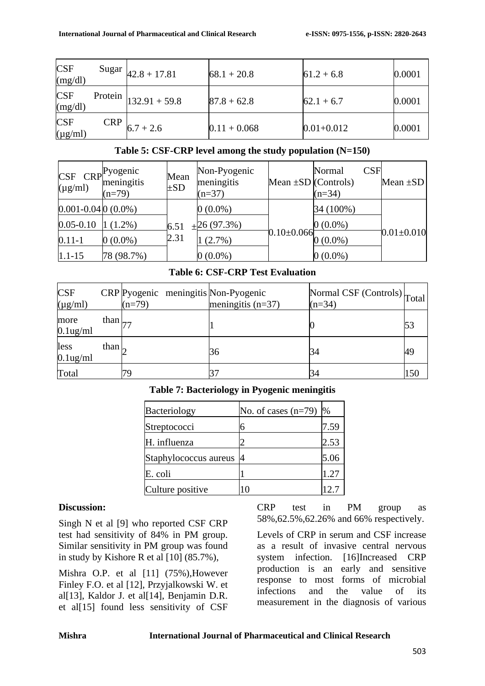| <b>CSF</b><br>(mg/dl)      |            | Sugar $ 42.8 + 17.81$    | $68.1 + 20.8$  | $61.2 + 6.8$   | 0.0001 |
|----------------------------|------------|--------------------------|----------------|----------------|--------|
| <b>CSF</b><br>(mg/dl)      |            | Protein $ 132.91 + 59.8$ | $87.8 + 62.8$  | $62.1 + 6.7$   | 0.0001 |
| <b>CSF</b><br>$(\mu g/ml)$ | <b>CRP</b> | $6.7 + 2.6$              | $0.11 + 0.068$ | $0.01 + 0.012$ | 0.0001 |

### **Table 5: CSF-CRP level among the study population (N=150)**

| CSF<br>$(\mu g/ml)$    | $R^{\text{Pyogenic}}$<br>meningitis<br>$(n=79)$ | Mean<br>$\pm SD$ | Non-Pyogenic<br>meningitis<br>$(n=37)$ | Mean $\pm SD$ (Controls) | CSE<br>Normal<br>$(n=34)$ | Mean $\pm SD$     |
|------------------------|-------------------------------------------------|------------------|----------------------------------------|--------------------------|---------------------------|-------------------|
| $0.001 - 0.040(0.0\%)$ |                                                 |                  | $0(0.0\%)$                             |                          | 34 (100%)                 |                   |
| $0.05 - 0.10$          | $(1.2\%)$                                       | 6.51             | $+26(97.3%)$                           |                          | $0(0.0\%)$                |                   |
| $0.11 - 1$             | $0(0.0\%)$                                      | 2.31             | $(2.7\%)$                              | $0.10 \pm 0.066$         | $0(0.0\%)$                | $-0.01 \pm 0.010$ |
| $1.1 - 15$             | 78 (98.7%)                                      |                  | $0(0.0\%)$                             |                          | $0(0.0\%)$                |                   |

### **Table 6: CSF-CRP Test Evaluation**

| <b>CSF</b><br>$(\mu g/ml)$ |                   | <b>CRP</b> Pyogenic meningitis Non-Pyogenic<br>$(n=79)$ | meningitis $(n=37)$ | Normal CSF (Controls) Total<br>$(n=34)$ |     |
|----------------------------|-------------------|---------------------------------------------------------|---------------------|-----------------------------------------|-----|
| more<br>$0.1$ ug/ml        | than $\vert_{77}$ |                                                         |                     |                                         | 53  |
| less<br>$0.1$ ug/ml        | than $\sim$       |                                                         | 36                  | 34                                      | 49  |
| Total                      |                   | 79                                                      |                     | 34                                      | 150 |

# **Table 7: Bacteriology in Pyogenic meningitis**

| Bacteriology          | No. of cases $(n=79)$ | $\%$ |
|-----------------------|-----------------------|------|
| Streptococci          |                       | 7.59 |
| H. influenza          |                       | 2.53 |
| Staphylococcus aureus |                       | 5.06 |
| E. coli               |                       | 1.27 |
| Culture positive      | $\left($              | 12.7 |

### **Discussion:**

Singh N et al [9] who reported CSF CRP test had sensitivity of 84% in PM group. Similar sensitivity in PM group was found in study by Kishore R et al  $[10]$   $(85.7\%)$ .

Mishra O.P. et al [11] (75%),However Finley F.O. et al [12], Przyjalkowski W. et al[13], Kaldor J. et al[14], Benjamin D.R. et al[15] found less sensitivity of CSF

CRP test in PM group as 58%,62.5%,62.26% and 66% respectively.

Levels of CRP in serum and CSF increase as a result of invasive central nervous system infection. [16]Increased CRP production is an early and sensitive response to most forms of microbial infections and the value of its measurement in the diagnosis of various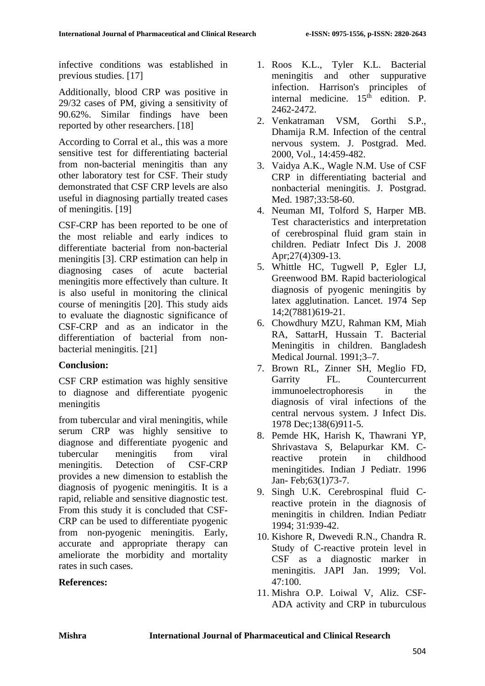infective conditions was established in previous studies. [17]

Additionally, blood CRP was positive in 29/32 cases of PM, giving a sensitivity of 90.62%. Similar findings have been reported by other researchers. [18]

According to Corral et al., this was a more sensitive test for differentiating bacterial from non-bacterial meningitis than any other laboratory test for CSF. Their study demonstrated that CSF CRP levels are also useful in diagnosing partially treated cases of meningitis. [19]

CSF-CRP has been reported to be one of the most reliable and early indices to differentiate bacterial from non-bacterial meningitis [3]. CRP estimation can help in diagnosing cases of acute bacterial meningitis more effectively than culture. It is also useful in monitoring the clinical course of meningitis [20]. This study aids to evaluate the diagnostic significance of CSF-CRP and as an indicator in the differentiation of bacterial from nonbacterial meningitis. [21]

# **Conclusion:**

CSF CRP estimation was highly sensitive to diagnose and differentiate pyogenic meningitis

from tubercular and viral meningitis, while serum CRP was highly sensitive to diagnose and differentiate pyogenic and tubercular meningitis from viral meningitis. Detection of CSF-CRP provides a new dimension to establish the diagnosis of pyogenic meningitis. It is a rapid, reliable and sensitive diagnostic test. From this study it is concluded that CSF-CRP can be used to differentiate pyogenic from non-pyogenic meningitis. Early, accurate and appropriate therapy can ameliorate the morbidity and mortality rates in such cases.

# **References:**

- 1. Roos K.L., Tyler K.L. Bacterial meningitis and other suppurative infection. Harrison's principles of internal medicine.  $15<sup>th</sup>$  edition. P. 2462-2472.
- 2. Venkatraman VSM, Gorthi S.P., Dhamija R.M. Infection of the central nervous system. J. Postgrad. Med. 2000, Vol., 14:459-482.
- 3. Vaidya A.K., Wagle N.M. Use of CSF CRP in differentiating bacterial and nonbacterial meningitis. J. Postgrad. Med. 1987;33:58-60.
- 4. Neuman MI, Tolford S, Harper MB. Test characteristics and interpretation of cerebrospinal fluid gram stain in children. Pediatr Infect Dis J. 2008 Apr;27(4)309-13.
- 5. Whittle HC, Tugwell P, Egler LJ, Greenwood BM. Rapid bacteriological diagnosis of pyogenic meningitis by latex agglutination. Lancet. 1974 Sep 14;2(7881)619-21.
- 6. Chowdhury MZU, Rahman KM, Miah RA, SattarH, Hussain T. Bacterial Meningitis in children. Bangladesh Medical Journal. 1991;3–7.
- 7. Brown RL, Zinner SH, Meglio FD, Garrity FL. Countercurrent immunoelectrophoresis in the diagnosis of viral infections of the central nervous system. J Infect Dis. 1978 Dec;138(6)911-5.
- 8. Pemde HK, Harish K, Thawrani YP, Shrivastava S, Belapurkar KM. Creactive protein in childhood meningitides. Indian J Pediatr. 1996 Jan- Feb;63(1)73-7.
- 9. Singh U.K. Cerebrospinal fluid Creactive protein in the diagnosis of meningitis in children. Indian Pediatr 1994; 31:939-42.
- 10. Kishore R, Dwevedi R.N., Chandra R. Study of C-reactive protein level in CSF as a diagnostic marker in meningitis. JAPI Jan. 1999; Vol. 47:100.
- 11. Mishra O.P. Loiwal V, Aliz. CSF-ADA activity and CRP in tuburculous